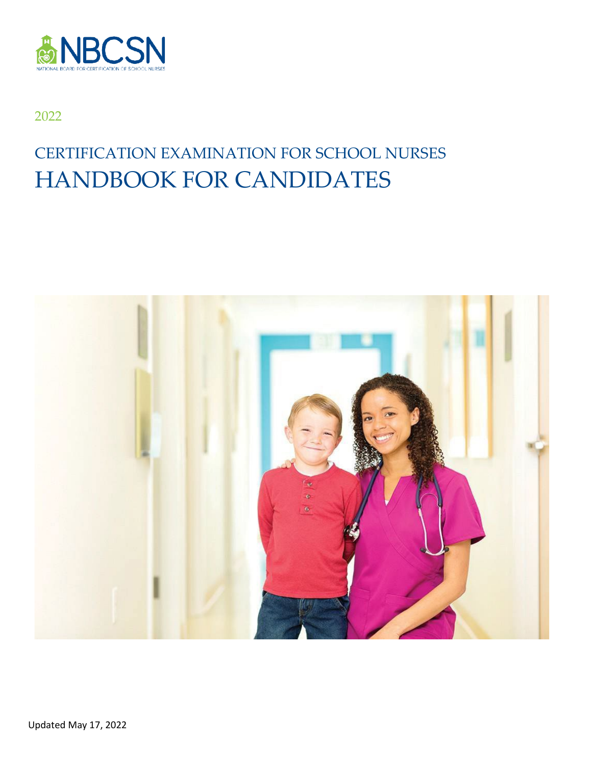

#### 2022

# CERTIFICATION EXAMINATION FOR SCHOOL NURSES HANDBOOK FOR CANDIDATES

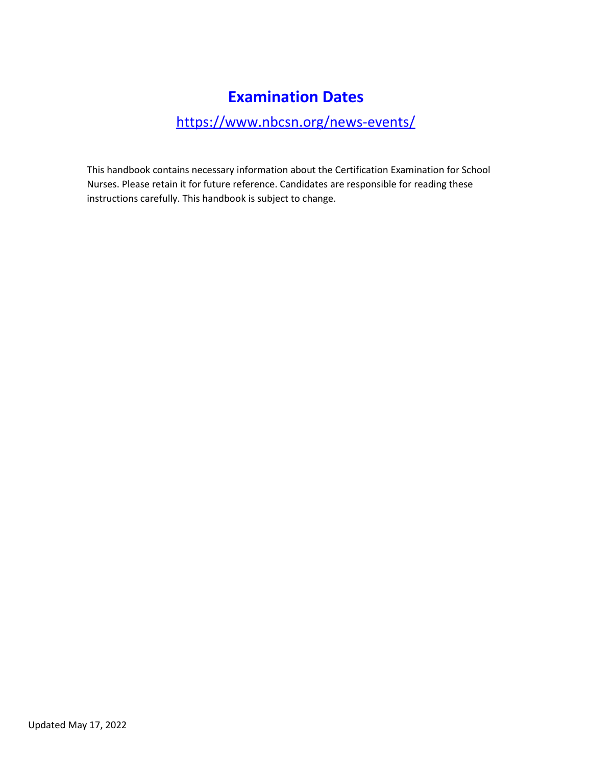# **Examination Dates**

### <https://www.nbcsn.org/news-events/>

This handbook contains necessary information about the Certification Examination for School Nurses. Please retain it for future reference. Candidates are responsible for reading these instructions carefully. This handbook is subject to change.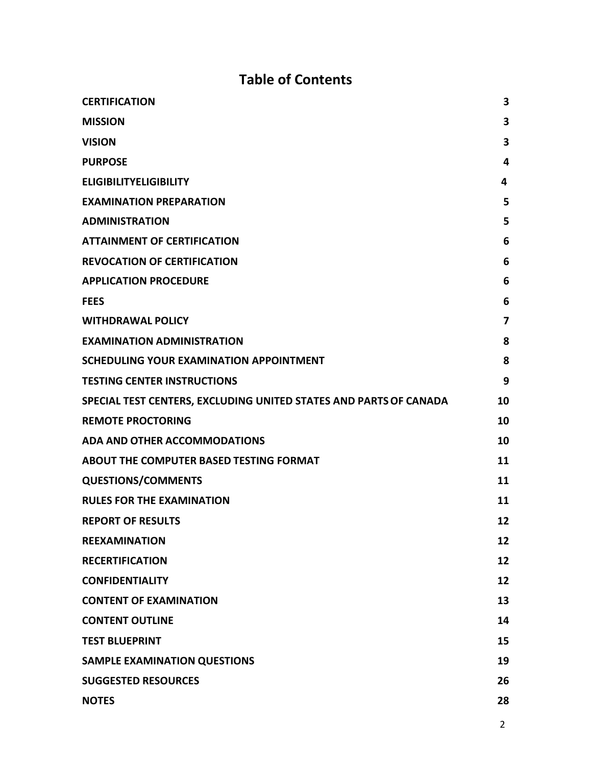# **Table of Contents**

| <b>CERTIFICATION</b>                                              | 3  |
|-------------------------------------------------------------------|----|
| <b>MISSION</b>                                                    | 3  |
| <b>VISION</b>                                                     | 3  |
| <b>PURPOSE</b>                                                    | 4  |
| <b>ELIGIBILITYELIGIBILITY</b>                                     | 4  |
| <b>EXAMINATION PREPARATION</b>                                    | 5  |
| <b>ADMINISTRATION</b>                                             | 5  |
| <b>ATTAINMENT OF CERTIFICATION</b>                                | 6  |
| <b>REVOCATION OF CERTIFICATION</b>                                | 6  |
| <b>APPLICATION PROCEDURE</b>                                      | 6  |
| <b>FEES</b>                                                       | 6  |
| <b>WITHDRAWAL POLICY</b>                                          | 7  |
| <b>EXAMINATION ADMINISTRATION</b>                                 | 8  |
| SCHEDULING YOUR EXAMINATION APPOINTMENT                           | 8  |
| <b>TESTING CENTER INSTRUCTIONS</b>                                | 9  |
| SPECIAL TEST CENTERS, EXCLUDING UNITED STATES AND PARTS OF CANADA | 10 |
| <b>REMOTE PROCTORING</b>                                          | 10 |
| <b>ADA AND OTHER ACCOMMODATIONS</b>                               | 10 |
| <b>ABOUT THE COMPUTER BASED TESTING FORMAT</b>                    | 11 |
| <b>QUESTIONS/COMMENTS</b>                                         | 11 |
| <b>RULES FOR THE EXAMINATION</b>                                  | 11 |
| <b>REPORT OF RESULTS</b>                                          | 12 |
| <b>REEXAMINATION</b>                                              | 12 |
| <b>RECERTIFICATION</b>                                            | 12 |
| <b>CONFIDENTIALITY</b>                                            | 12 |
| <b>CONTENT OF EXAMINATION</b>                                     | 13 |
| <b>CONTENT OUTLINE</b>                                            | 14 |
| <b>TEST BLUEPRINT</b>                                             | 15 |
| <b>SAMPLE EXAMINATION QUESTIONS</b>                               | 19 |
| <b>SUGGESTED RESOURCES</b>                                        | 26 |
| <b>NOTES</b>                                                      | 28 |
|                                                                   |    |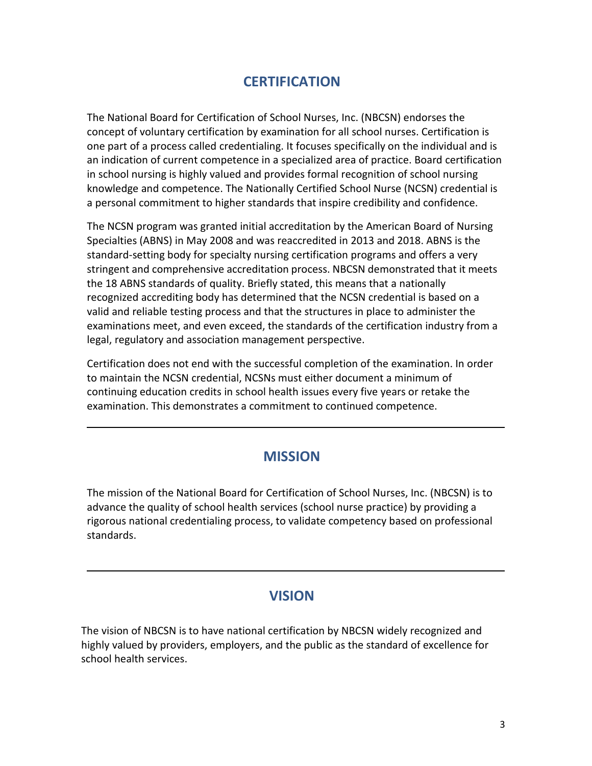### **CERTIFICATION**

<span id="page-3-0"></span>The National Board for Certification of School Nurses, Inc. (NBCSN) endorses the concept of voluntary certification by examination for all school nurses. Certification is one part of a process called credentialing. It focuses specifically on the individual and is an indication of current competence in a specialized area of practice. Board certification in school nursing is highly valued and provides formal recognition of school nursing knowledge and competence. The Nationally Certified School Nurse (NCSN) credential is a personal commitment to higher standards that inspire credibility and confidence.

The NCSN program was granted initial accreditation by the American Board of Nursing Specialties (ABNS) in May 2008 and was reaccredited in 2013 and 2018. ABNS is the standard-setting body for specialty nursing certification programs and offers a very stringent and comprehensive accreditation process. NBCSN demonstrated that it meets the 18 ABNS standards of quality. Briefly stated, this means that a nationally recognized accrediting body has determined that the NCSN credential is based on a valid and reliable testing process and that the structures in place to administer the examinations meet, and even exceed, the standards of the certification industry from a legal, regulatory and association management perspective.

Certification does not end with the successful completion of the examination. In order to maintain the NCSN credential, NCSNs must either document a minimum of continuing education credits in school health issues every five years or retake the examination. This demonstrates a commitment to continued competence.

#### **MISSION**

<span id="page-3-1"></span>The mission of the National Board for Certification of School Nurses, Inc. (NBCSN) is to advance the quality of school health services (school nurse practice) by providing a rigorous national credentialing process, to validate competency based on professional standards.

#### **VISION**

<span id="page-3-2"></span>The vision of NBCSN is to have national certification by NBCSN widely recognized and highly valued by providers, employers, and the public as the standard of excellence for school health services.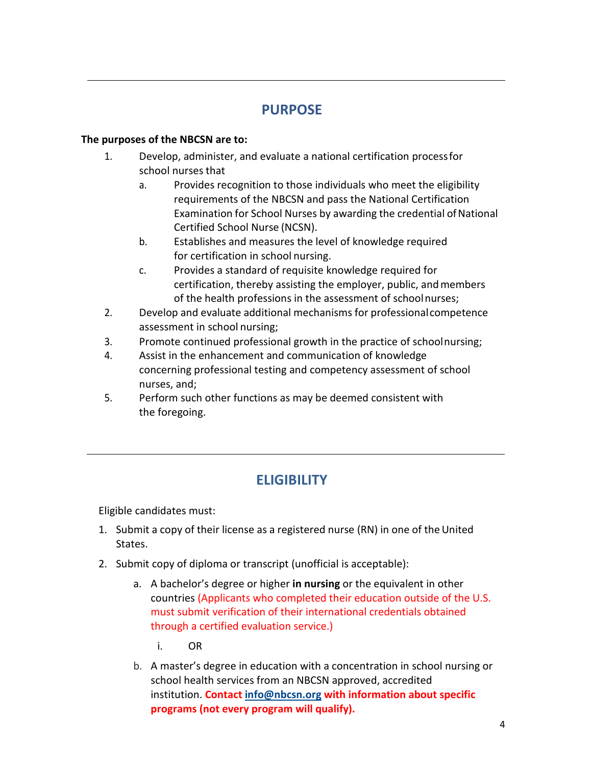## **PURPOSE**

#### <span id="page-4-0"></span>**The purposes of the NBCSN are to:**

- 1. Develop, administer, and evaluate a national certification processfor school nurses that
	- a. Provides recognition to those individuals who meet the eligibility requirements of the NBCSN and pass the National Certification Examination for School Nurses by awarding the credential of National Certified School Nurse (NCSN).
	- b. Establishes and measures the level of knowledge required for certification in school nursing.
	- c. Provides a standard of requisite knowledge required for certification, thereby assisting the employer, public, andmembers of the health professions in the assessment of schoolnurses;
- 2. Develop and evaluate additional mechanisms for professionalcompetence assessment in school nursing;
- 3. Promote continued professional growth in the practice of schoolnursing;
- 4. Assist in the enhancement and communication of knowledge concerning professional testing and competency assessment of school nurses, and;
- 5. Perform such other functions as may be deemed consistent with the foregoing.

# **ELIGIBILITY**

Eligible candidates must:

- 1. Submit a copy of their license as a registered nurse (RN) in one of the United States.
- 2. Submit copy of diploma or transcript (unofficial is acceptable):
	- a. A bachelor's degree or higher **in nursing** or the equivalent in other countries (Applicants who completed their education outside of the U.S. must submit verification of their international credentials obtained through a certified evaluation service.)
		- i. OR
	- b. A master's degree in education with a concentration in school nursing or school health services from an NBCSN approved, accredited institution. **Contact [info@nbcsn.org](mailto:info@nbcsn.org) with information about specific programs (not every program will qualify).**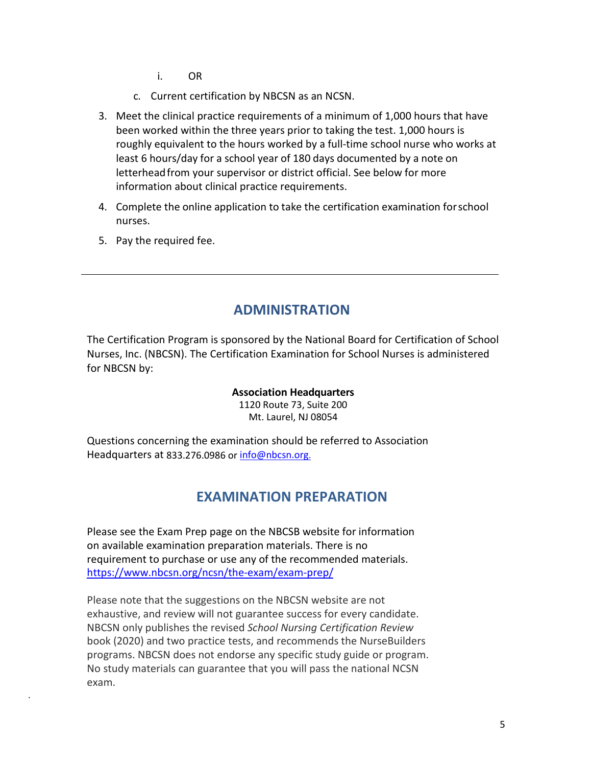- i. OR
- c. Current certification by NBCSN as an NCSN.
- 3. Meet the clinical practice requirements of a minimum of 1,000 hours that have been worked within the three years prior to taking the test. 1,000 hours is roughly equivalent to the hours worked by a full-time school nurse who works at least 6 hours/day for a school year of 180 days documented by a note on letterhead from your supervisor or district official. See below for more information about clinical practice requirements.
- 4. Complete the online application to take the certification examination forschool nurses.
- 5. Pay the required fee.

.

### **ADMINISTRATION**

<span id="page-5-0"></span>The Certification Program is sponsored by the National Board for Certification of School Nurses, Inc. (NBCSN). The Certification Examination for School Nurses is administered for NBCSN by:

#### **Association Headquarters**

1120 Route 73, Suite 200 Mt. Laurel, NJ 08054

Questions concerning the examination should be referred to Association Headquarters at 833.276.0986 or [info@nbcsn.org.](mailto:info@nbcsn.org.)

#### **EXAMINATION PREPARATION**

Please see the Exam Prep page on the NBCSB website for information on available examination preparation materials. There is no requirement to purchase or use any of the recommended materials. <https://www.nbcsn.org/ncsn/the-exam/exam-prep/>

Please note that the suggestions on the NBCSN website are not exhaustive, and review will not guarantee success for every candidate. NBCSN only publishes the revised *School Nursing Certification Review* book (2020) and two practice tests, and recommends the NurseBuilders programs. NBCSN does not endorse any specific study guide or program. No study materials can guarantee that you will pass the national NCSN exam.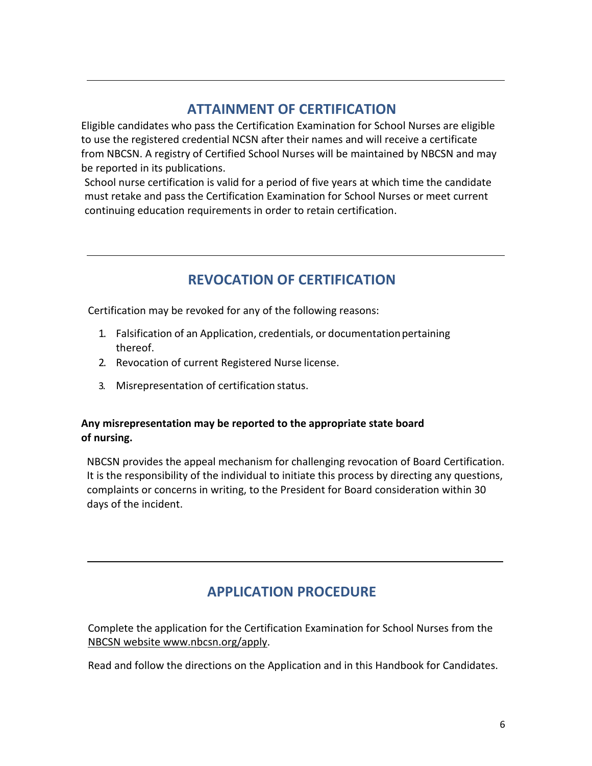### **ATTAINMENT OF CERTIFICATION**

<span id="page-6-0"></span>Eligible candidates who pass the Certification Examination for School Nurses are eligible to use the registered credential NCSN after their names and will receive a certificate from NBCSN. A registry of Certified School Nurses will be maintained by NBCSN and may be reported in its publications.

School nurse certification is valid for a period of five years at which time the candidate must retake and pass the Certification Examination for School Nurses or meet current continuing education requirements in order to retain certification.

# **REVOCATION OF CERTIFICATION**

Certification may be revoked for any of the following reasons:

- 1. Falsification of an Application, credentials, or documentationpertaining thereof.
- 2. Revocation of current Registered Nurse license.
- 3. Misrepresentation of certification status.

#### **Any misrepresentation may be reported to the appropriate state board of nursing.**

NBCSN provides the appeal mechanism for challenging revocation of Board Certification. It is the responsibility of the individual to initiate this process by directing any questions, complaints or concerns in writing, to the President for Board consideration within 30 days of the incident.

### <span id="page-6-1"></span>**APPLICATION PROCEDURE**

Complete the application for the Certification Examination for School Nurses from the NBCSN websit[e www.nbcsn.org/apply.](http://www.nbcsn.org/apply)

Read and follow the directions on the Application and in this Handbook for Candidates.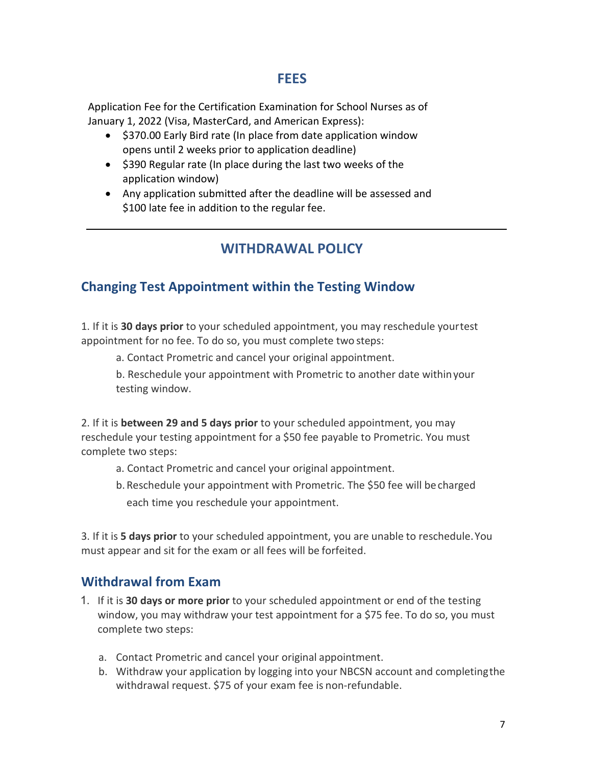#### **FEES**

Application Fee for the Certification Examination for School Nurses as of January 1, 2022 (Visa, MasterCard, and American Express):

- \$370.00 Early Bird rate (In place from date application window opens until 2 weeks prior to application deadline)
- \$390 Regular rate (In place during the last two weeks of the application window)
- Any application submitted after the deadline will be assessed and \$100 late fee in addition to the regular fee.

### **WITHDRAWAL POLICY**

### <span id="page-7-0"></span>**Changing Test Appointment within the Testing Window**

1. If it is **30 days prior** to your scheduled appointment, you may reschedule yourtest appointment for no fee. To do so, you must complete two steps:

a. Contact Prometric and cancel your original appointment.

b. Reschedule your appointment with Prometric to another date withinyour testing window.

2. If it is **between 29 and 5 days prior** to your scheduled appointment, you may reschedule your testing appointment for a \$50 fee payable to Prometric. You must complete two steps:

- a. Contact Prometric and cancel your original appointment.
- b. Reschedule your appointment with Prometric. The \$50 fee will becharged each time you reschedule your appointment.

3. If it is **5 days prior** to your scheduled appointment, you are unable to reschedule.You must appear and sit for the exam or all fees will be forfeited.

### **Withdrawal from Exam**

- 1. If it is **30 days or more prior** to your scheduled appointment or end of the testing window, you may withdraw your test appointment for a \$75 fee. To do so, you must complete two steps:
	- a. Contact Prometric and cancel your original appointment.
	- b. Withdraw your application by logging into your NBCSN account and completingthe withdrawal request. \$75 of your exam fee is non-refundable.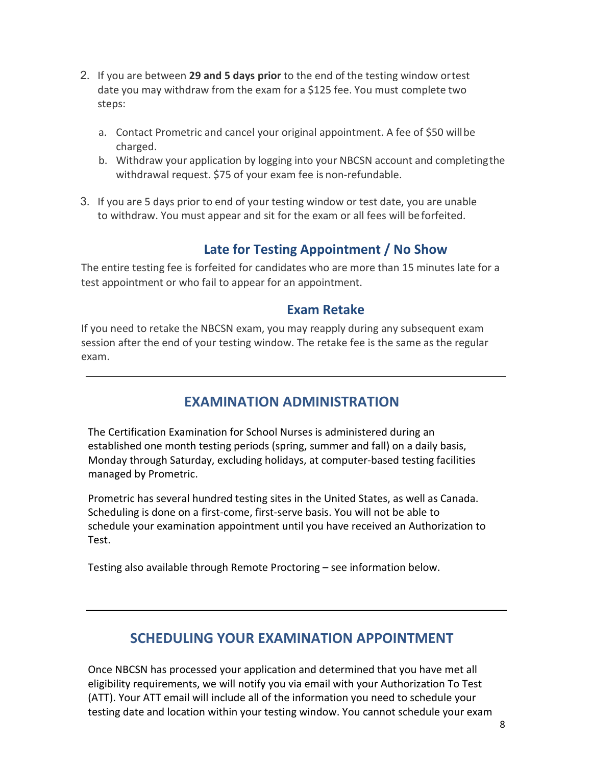- 2. If you are between **29 and 5 days prior** to the end of the testing window ortest date you may withdraw from the exam for a \$125 fee. You must complete two steps:
	- a. Contact Prometric and cancel your original appointment. A fee of \$50 willbe charged.
	- b. Withdraw your application by logging into your NBCSN account and completingthe withdrawal request. \$75 of your exam fee is non-refundable.
- 3. If you are 5 days prior to end of your testing window or test date, you are unable to withdraw. You must appear and sit for the exam or all fees will be forfeited.

### **Late for Testing Appointment / No Show**

The entire testing fee is forfeited for candidates who are more than 15 minutes late for a test appointment or who fail to appear for an appointment.

#### **Exam Retake**

If you need to retake the NBCSN exam, you may reapply during any subsequent exam session after the end of your testing window. The retake fee is the same as the regular exam.

# **EXAMINATION ADMINISTRATION**

<span id="page-8-0"></span>The Certification Examination for School Nurses is administered during an established one month testing periods (spring, summer and fall) on a daily basis, Monday through Saturday, excluding holidays, at computer-based testing facilities managed by Prometric.

Prometric has several hundred testing sites in the United States, as well as Canada. Scheduling is done on a first-come, first-serve basis. You will not be able to schedule your examination appointment until you have received an Authorization to Test.

Testing also available through Remote Proctoring – see information below.

### **SCHEDULING YOUR EXAMINATION APPOINTMENT**

<span id="page-8-1"></span>Once NBCSN has processed your application and determined that you have met all eligibility requirements, we will notify you via email with your Authorization To Test (ATT). Your ATT email will include all of the information you need to schedule your testing date and location within your testing window. You cannot schedule your exam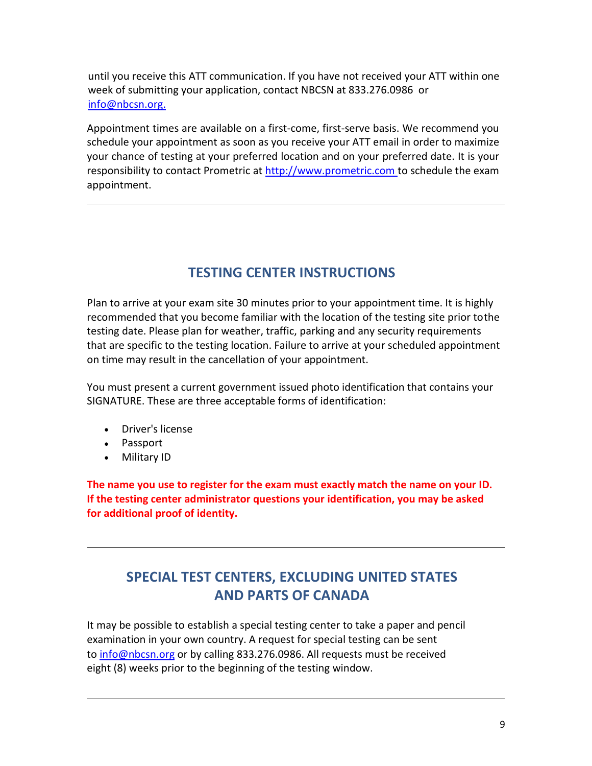until you receive this ATT communication. If you have not received your ATT within one week of submitting your application, contact NBCSN at 833.276.0986 or [info@nbcsn.org.](mailto:info@nbcsn.org.)

Appointment times are available on a first-come, first-serve basis. We recommend you schedule your appointment as soon as you receive your ATT email in order to maximize your chance of testing at your preferred location and on your preferred date. It is your responsibility to contact Prometric at [http://www.prometric.com to s](http://www.prometric.comto/)chedule the exam appointment.

# **TESTING CENTER INSTRUCTIONS**

<span id="page-9-0"></span>Plan to arrive at your exam site 30 minutes prior to your appointment time. It is highly recommended that you become familiar with the location of the testing site prior tothe testing date. Please plan for weather, traffic, parking and any security requirements that are specific to the testing location. Failure to arrive at your scheduled appointment on time may result in the cancellation of your appointment.

You must present a current government issued photo identification that contains your SIGNATURE. These are three acceptable forms of identification:

- Driver's license
- Passport
- Military ID

**The name you use to register for the exam must exactly match the name on your ID. If the testing center administrator questions your identification, you may be asked for additional proof of identity.**

# **SPECIAL TEST CENTERS, EXCLUDING UNITED STATES AND PARTS OF CANADA**

<span id="page-9-1"></span>It may be possible to establish a special testing center to take a paper and pencil examination in your own country. A request for special testing can be sent to [info@nbcsn.org](mailto:certification@nbcsn.orgor) or by calling 833.276.0986. All requests must be received eight (8) weeks prior to the beginning of the testing window.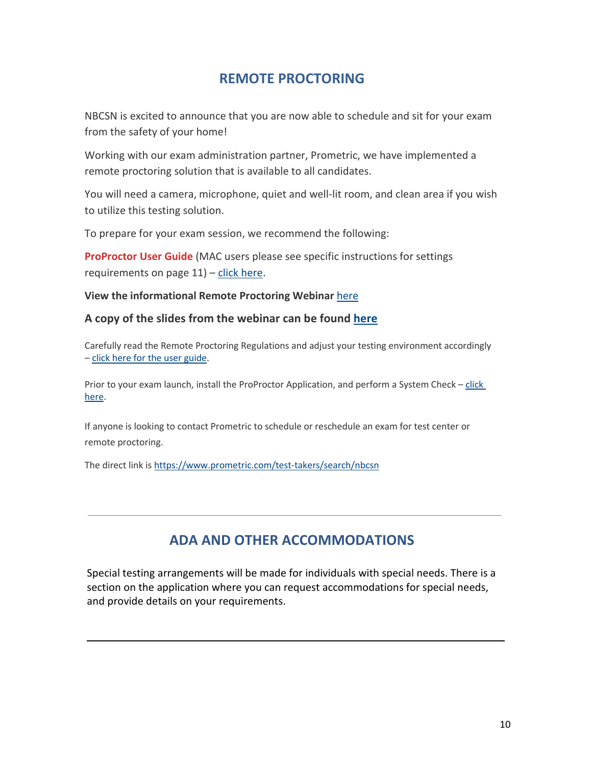#### <span id="page-10-0"></span>**REMOTE PROCTORING**

NBCSN is excited to announce that you are now able to schedule and sit for your exam from the safety of your home!

Working with our exam administration partner, Prometric, we have implemented a remote proctoring solution that is available to all candidates.

You will need a camera, microphone, quiet and well-lit room, and clean area if you wish to utilize this testing solution.

To prepare for your exam session, we recommend the following:

**ProProctor User Guide** (MAC users please see specific instructions for settings requirements on page 11) – [click here.](https://www.prometric.com/sites/default/files/2019-10/PrometricProUserGuide.pdf)

**View the informational Remote Proctoring Webinar** [here](https://us02web.zoom.us/rec/share/7u9IM-mzr1xISa-WyHuceq8HIITLX6a8hHMbqacIzU4vxytot6CF5ODNn_Bqi0oI?startTime=1592337771000)

#### **A copy of the slides from the webinar can be found [here](https://www.nbcsn.org/wp-content/uploads/2020/06/Remote-Testing-Slides-FINAL-DECK.pdf)**

Carefully read the Remote Proctoring Regulations and adjust your testing environment accordingly – [click here for the user guide.](https://www.prometric.com/sites/default/files/2019-10/PrometricProUserGuide.pdf)

Prior to your exam launch, install the ProProctor Application, and perform a System Check [– click](https://rpcandidate.prometric.com/Home/SystemCheck)  [here.](https://rpcandidate.prometric.com/Home/SystemCheck)

If anyone is looking to contact Prometric to schedule or reschedule an exam for test center or remote proctoring.

The direct link is [https://www.prometric.com/test-takers/search/nbcsn](https://nam10.safelinks.protection.outlook.com/?url=https%3A%2F%2Fwww.prometric.com%2Ftest-takers%2Fsearch%2Fnbcsn&data=02%7C01%7C%7Cedb69dbbe3b74b4a6f1c08d8148739f3%7C84df9e7fe9f640afb435aaaaaaaaaaaa%7C1%7C0%7C637281918304575811&sdata=5whxDqt8qXn%2BGeEa8dLOkX%2FndJI28JnD54wzxlMvhLk%3D&reserved=0)

### **ADA AND OTHER ACCOMMODATIONS**

<span id="page-10-1"></span>Special testing arrangements will be made for individuals with special needs. There is a section on the application where you can request accommodations for special needs, and provide details on your requirements.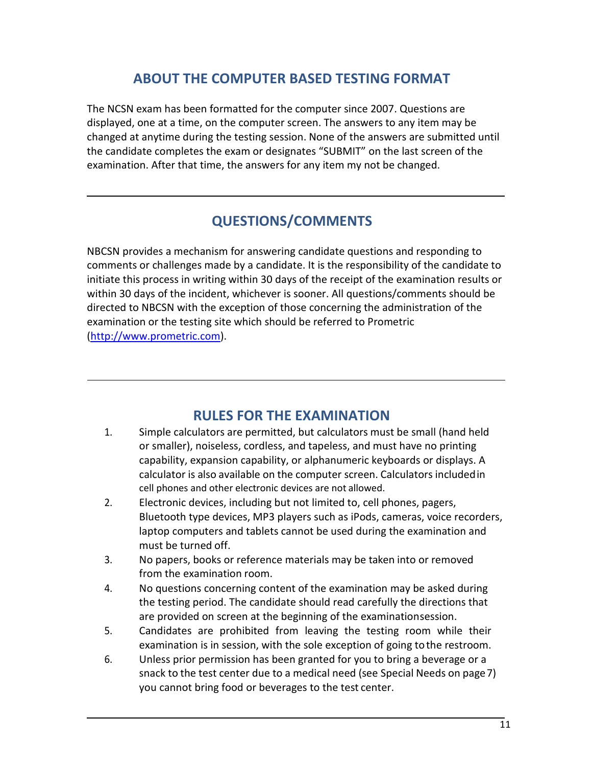### **ABOUT THE COMPUTER BASED TESTING FORMAT**

The NCSN exam has been formatted for the computer since 2007. Questions are displayed, one at a time, on the computer screen. The answers to any item may be changed at anytime during the testing session. None of the answers are submitted until the candidate completes the exam or designates "SUBMIT" on the last screen of the examination. After that time, the answers for any item my not be changed.

### **QUESTIONS/COMMENTS**

<span id="page-11-0"></span>NBCSN provides a mechanism for answering candidate questions and responding to comments or challenges made by a candidate. It is the responsibility of the candidate to initiate this process in writing within 30 days of the receipt of the examination results or within 30 days of the incident, whichever is sooner. All questions/comments should be directed to NBCSN with the exception of those concerning the administration of the examination or the testing site which should be referred to Prometric (http://www.prometric.com).

#### **RULES FOR THE EXAMINATION**

- <span id="page-11-1"></span>1. Simple calculators are permitted, but calculators must be small (hand held or smaller), noiseless, cordless, and tapeless, and must have no printing capability, expansion capability, or alphanumeric keyboards or displays. A calculator is also available on the computer screen. Calculators includedin cell phones and other electronic devices are not allowed.
- 2. Electronic devices, including but not limited to, cell phones, pagers, Bluetooth type devices, MP3 players such as iPods, cameras, voice recorders, laptop computers and tablets cannot be used during the examination and must be turned off.
- 3. No papers, books or reference materials may be taken into or removed from the examination room.
- 4. No questions concerning content of the examination may be asked during the testing period. The candidate should read carefully the directions that are provided on screen at the beginning of the examinationsession.
- 5. Candidates are prohibited from leaving the testing room while their examination is in session, with the sole exception of going tothe restroom.
- 6. Unless prior permission has been granted for you to bring a beverage or a snack to the test center due to a medical need (see Special Needs on page7) you cannot bring food or beverages to the test center.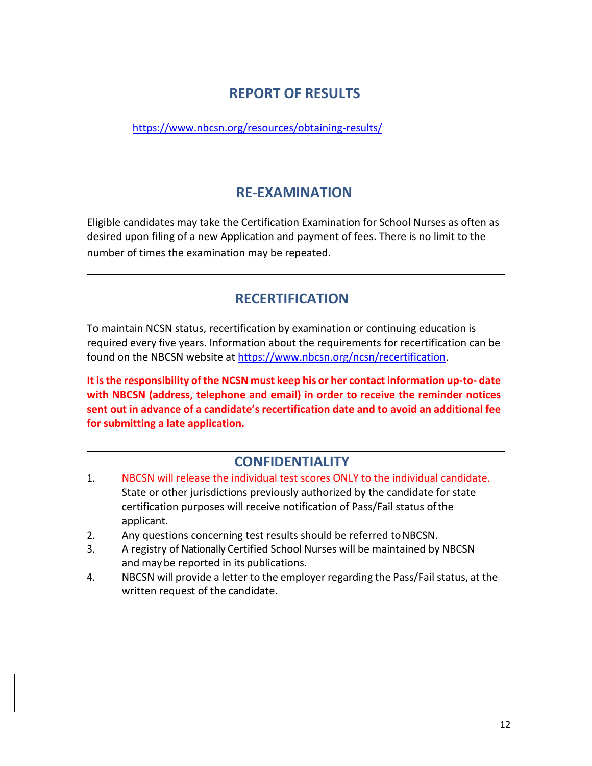#### **REPORT OF RESULTS**

<span id="page-12-0"></span><https://www.nbcsn.org/resources/obtaining-results/>

### **RE-EXAMINATION**

<span id="page-12-5"></span><span id="page-12-1"></span>Eligible candidates may take the Certification Examination for School Nurses as often as desired upon filing of a new Application and payment of fees. There is no limit to the number of times the examination may be repeated.

### **RECERTIFICATION**

<span id="page-12-2"></span>To maintain NCSN status, recertification by examination or continuing education is required every five years. Information about the requirements for recertification can be found on the NBCSN website at [https://www.nbcsn.org/ncsn/recertification.](https://www.nbcsn.org/ncsn/recertification)

**It is the responsibility of the NCSN must keep his or her contact information up-to- date with NBCSN (address, telephone and email) in order to receive the reminder notices sent out in advance of a candidate's recertification date and to avoid an additional fee for submitting a late application.**

#### **CONFIDENTIALITY**

- <span id="page-12-3"></span>1. NBCSN will release the individual test scores ONLY to the individual candidate. State or other jurisdictions previously authorized by the candidate for state certification purposes will receive notification of Pass/Fail status ofthe applicant.
- 2. Any questions concerning test results should be referred to NBCSN.
- 3. A registry of Nationally Certified School Nurses will be maintained by NBCSN and may be reported in its publications.
- <span id="page-12-4"></span>4. NBCSN will provide a letter to the employer regarding the Pass/Fail status, at the written request of the candidate.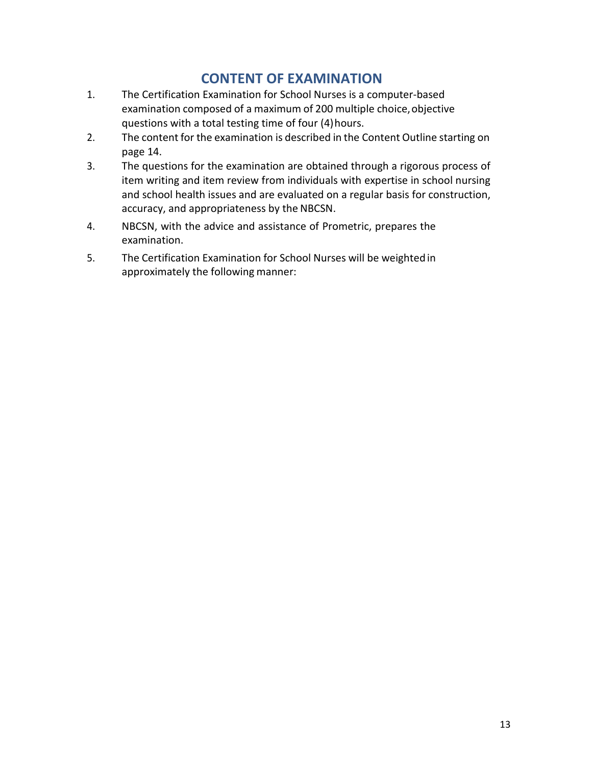### **CONTENT OF EXAMINATION**

- 1. The Certification Examination for School Nurses is a computer-based examination composed of a maximum of 200 multiple choice, objective questions with a total testing time of four (4)hours.
- 2. The content for the examination is described in the Content Outline starting on page 14.
- 3. The questions for the examination are obtained through a rigorous process of item writing and item review from individuals with expertise in school nursing and school health issues and are evaluated on a regular basis for construction, accuracy, and appropriateness by the NBCSN.
- 4. NBCSN, with the advice and assistance of Prometric, prepares the examination.
- 5. The Certification Examination for School Nurses will be weightedin approximately the following manner: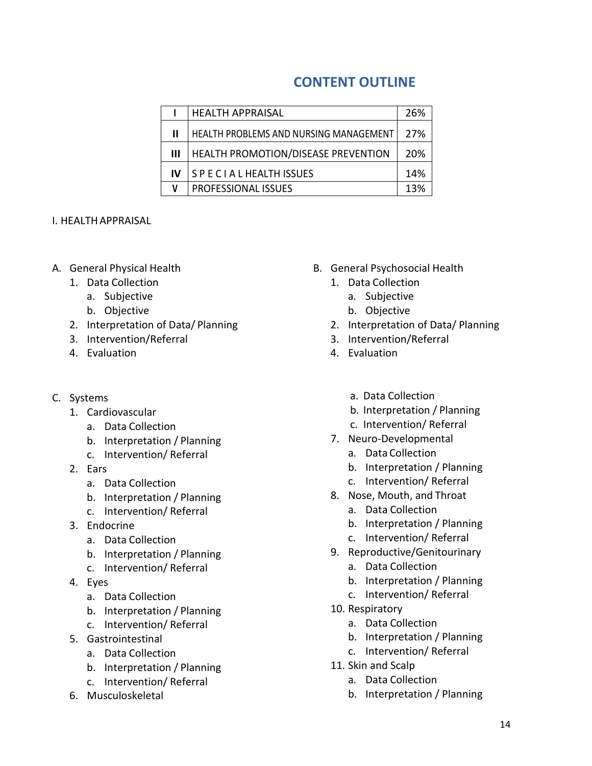### **CONTENT OUTLINE**

|    | <b>HEALTH APPRAISAL</b>                | 26% |
|----|----------------------------------------|-----|
| Ш  | HEALTH PROBLEMS AND NURSING MANAGEMENT | 27% |
| Ш  | HEALTH PROMOTION/DISEASE PREVENTION    | 20% |
| IV | SPECIAL HEALTH ISSUES                  | 14% |
|    | PROFESSIONAL ISSUES                    | 13% |
|    |                                        |     |

#### I. HEALTHAPPRAISAL

- A. General Physical Health
	- 1. Data Collection
		- a. Subjective
		- b. Objective
	- 2. Interpretation of Data/ Planning
	- 3. Intervention/Referral
	- 4. Evaluation
- C. Systems
	- 1. Cardiovascular
		- a. Data Collection
		- b. Interpretation / Planning
		- c. Intervention/ Referral
	- 2. Ears
		- a. Data Collection
		- b. Interpretation / Planning
		- c. Intervention/ Referral
	- 3. Endocrine
		- a. Data Collection
		- b. Interpretation / Planning
		- c. Intervention/ Referral
	- 4. Eyes
		- a. Data Collection
		- b. Interpretation / Planning
		- c. Intervention/ Referral
	- 5. Gastrointestinal
		- a. Data Collection
		- b. Interpretation / Planning
		- c. Intervention/ Referral
	- 6. Musculoskeletal
- B. General Psychosocial Health
	- 1. Data Collection
		- a. Subjective
		- b. Objective
	- 2. Interpretation of Data/ Planning
	- 3. Intervention/Referral
	- 4. Evaluation
		- a. Data Collection
		- b. Interpretation / Planning
		- c. Intervention/ Referral
	- 7. Neuro-Developmental
		- a. Data Collection
		- b. Interpretation / Planning
		- c. Intervention/ Referral
	- 8. Nose, Mouth, and Throat
		- a. Data Collection
		- b. Interpretation / Planning
		- c. Intervention/ Referral
	- 9. Reproductive/Genitourinary
		- a. Data Collection
		- b. Interpretation / Planning
		- c. Intervention/ Referral
	- 10. Respiratory
		- a. Data Collection
		- b. Interpretation / Planning
		- c. Intervention/ Referral
	- 11. Skin and Scalp
		- a. Data Collection
		- b. Interpretation / Planning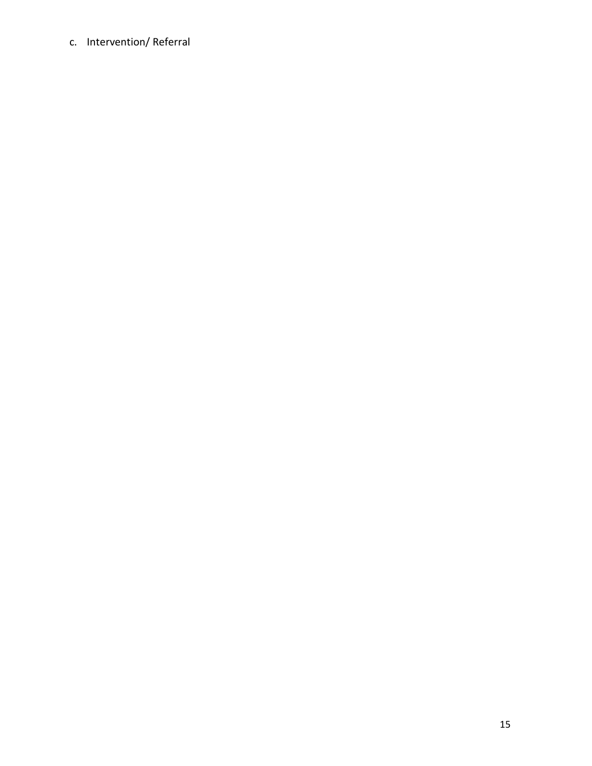c. Intervention/ Referral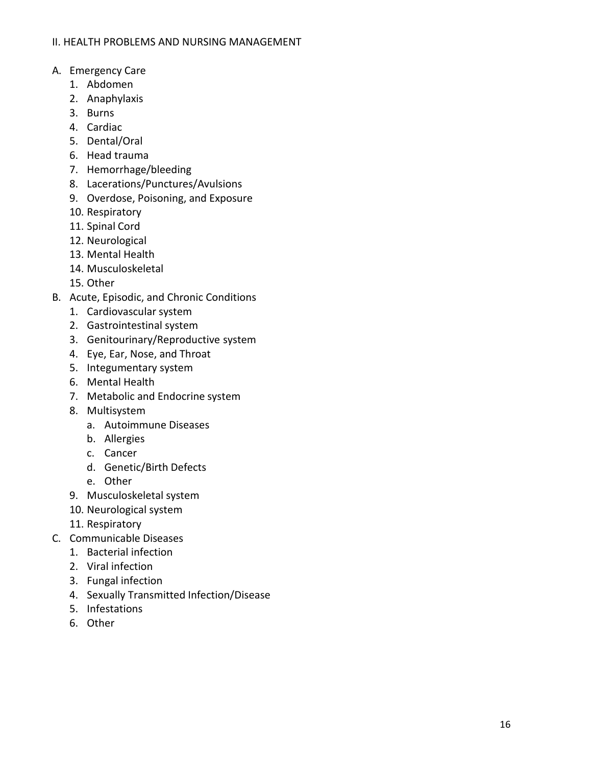#### II. HEALTH PROBLEMS AND NURSING MANAGEMENT

- A. Emergency Care
	- 1. Abdomen
	- 2. Anaphylaxis
	- 3. Burns
	- 4. Cardiac
	- 5. Dental/Oral
	- 6. Head trauma
	- 7. Hemorrhage/bleeding
	- 8. Lacerations/Punctures/Avulsions
	- 9. Overdose, Poisoning, and Exposure
	- 10. Respiratory
	- 11. Spinal Cord
	- 12. Neurological
	- 13. Mental Health
	- 14. Musculoskeletal
	- 15. Other
- B. Acute, Episodic, and Chronic Conditions
	- 1. Cardiovascular system
	- 2. Gastrointestinal system
	- 3. Genitourinary/Reproductive system
	- 4. Eye, Ear, Nose, and Throat
	- 5. Integumentary system
	- 6. Mental Health
	- 7. Metabolic and Endocrine system
	- 8. Multisystem
		- a. Autoimmune Diseases
		- b. Allergies
		- c. Cancer
		- d. Genetic/Birth Defects
		- e. Other
	- 9. Musculoskeletal system
	- 10. Neurological system
	- 11. Respiratory
- C. Communicable Diseases
	- 1. Bacterial infection
	- 2. Viral infection
	- 3. Fungal infection
	- 4. Sexually Transmitted Infection/Disease
	- 5. Infestations
	- 6. Other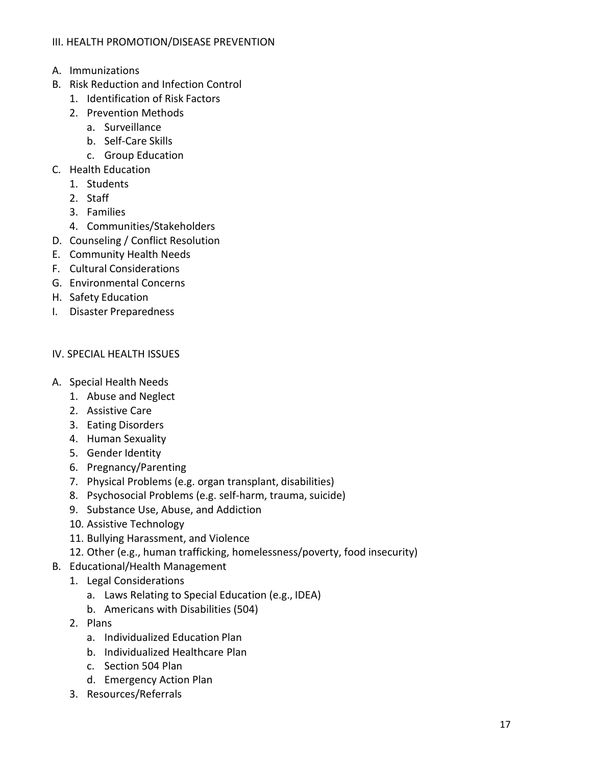- A. Immunizations
- B. Risk Reduction and Infection Control
	- 1. Identification of Risk Factors
	- 2. Prevention Methods
		- a. Surveillance
		- b. Self-Care Skills
		- c. Group Education
- C. Health Education
	- 1. Students
		- 2. Staff
		- 3. Families
		- 4. Communities/Stakeholders
- D. Counseling / Conflict Resolution
- E. Community Health Needs
- F. Cultural Considerations
- G. Environmental Concerns
- H. Safety Education
- I. Disaster Preparedness

#### IV. SPECIAL HEALTH ISSUES

- A. Special Health Needs
	- 1. Abuse and Neglect
	- 2. Assistive Care
	- 3. Eating Disorders
	- 4. Human Sexuality
	- 5. Gender Identity
	- 6. Pregnancy/Parenting
	- 7. Physical Problems (e.g. organ transplant, disabilities)
	- 8. Psychosocial Problems (e.g. self-harm, trauma, suicide)
	- 9. Substance Use, Abuse, and Addiction
	- 10. Assistive Technology
	- 11. Bullying Harassment, and Violence
	- 12. Other (e.g., human trafficking, homelessness/poverty, food insecurity)
- B. Educational/Health Management
	- 1. Legal Considerations
		- a. Laws Relating to Special Education (e.g., IDEA)
		- b. Americans with Disabilities (504)
	- 2. Plans
		- a. Individualized Education Plan
		- b. Individualized Healthcare Plan
		- c. Section 504 Plan
		- d. Emergency Action Plan
	- 3. Resources/Referrals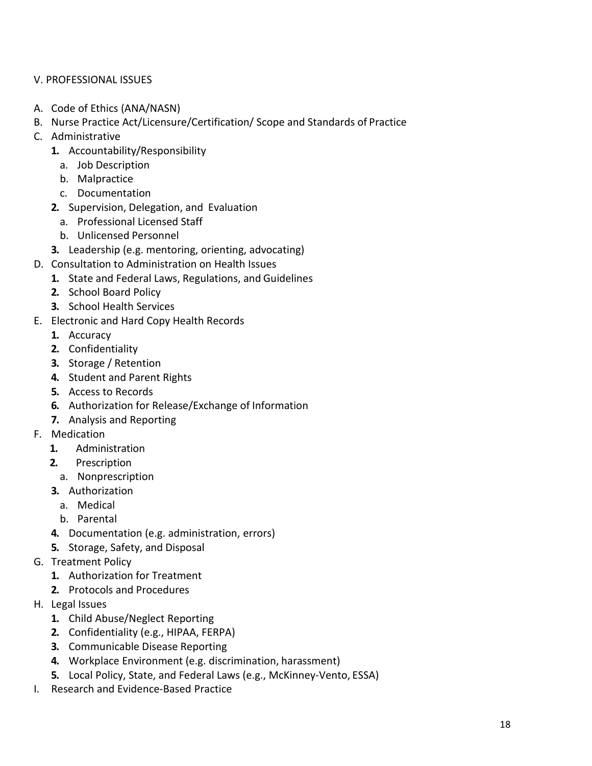#### V. PROFESSIONAL ISSUES

- A. Code of Ethics (ANA/NASN)
- B. Nurse Practice Act/Licensure/Certification/ Scope and Standards of Practice
- C. Administrative
	- **1.** Accountability/Responsibility
		- a. Job Description
		- b. Malpractice
		- c. Documentation
	- **2.** Supervision, Delegation, and Evaluation
		- a. Professional Licensed Staff
		- b. Unlicensed Personnel
	- **3.** Leadership (e.g. mentoring, orienting, advocating)
- D. Consultation to Administration on Health Issues
	- **1.** State and Federal Laws, Regulations, and Guidelines
	- **2.** School Board Policy
	- **3.** School Health Services
- E. Electronic and Hard Copy Health Records
	- **1.** Accuracy
	- **2.** Confidentiality
	- **3.** Storage / Retention
	- **4.** Student and Parent Rights
	- **5.** Access to Records
	- **6.** Authorization for Release/Exchange of Information
	- **7.** Analysis and Reporting
- F. Medication
	- **1.** Administration
	- **2.** Prescription
	- a. Nonprescription
	- **3.** Authorization
		- a. Medical
		- b. Parental
	- **4.** Documentation (e.g. administration, errors)
	- **5.** Storage, Safety, and Disposal
- G. Treatment Policy
	- **1.** Authorization for Treatment
	- **2.** Protocols and Procedures
- H. Legal Issues
	- **1.** Child Abuse/Neglect Reporting
	- **2.** Confidentiality (e.g., HIPAA, FERPA)
	- **3.** Communicable Disease Reporting
	- **4.** Workplace Environment (e.g. discrimination, harassment)
	- **5.** Local Policy, State, and Federal Laws (e.g., McKinney-Vento, ESSA)
- I. Research and Evidence-Based Practice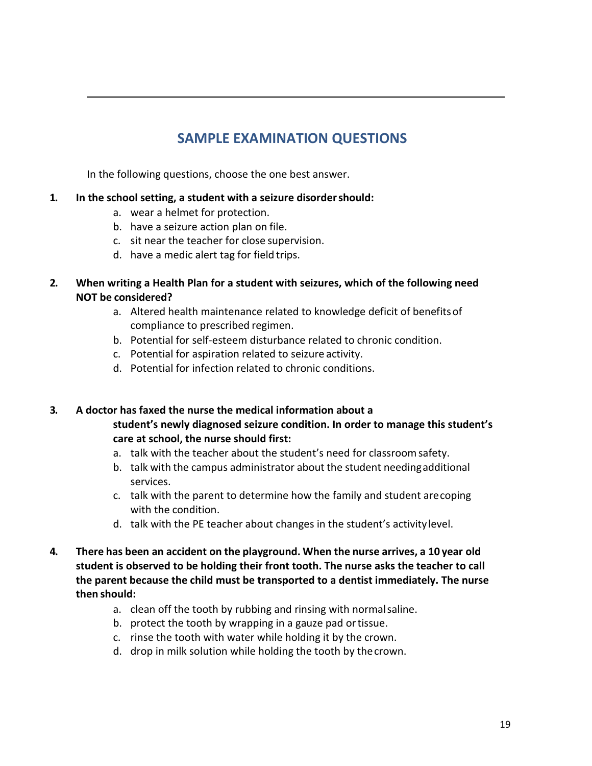# **SAMPLE EXAMINATION QUESTIONS**

In the following questions, choose the one best answer.

#### **1. In the school setting, a student with a seizure disordershould:**

- a. wear a helmet for protection.
- b. have a seizure action plan on file.
- c. sit near the teacher for close supervision.
- d. have a medic alert tag for field trips.

#### **2. When writing a Health Plan for a student with seizures, which of the following need NOT be considered?**

- a. Altered health maintenance related to knowledge deficit of benefitsof compliance to prescribed regimen.
- b. Potential for self-esteem disturbance related to chronic condition.
- c. Potential for aspiration related to seizure activity.
- d. Potential for infection related to chronic conditions.

#### **3. A doctor has faxed the nurse the medical information about a student's newly diagnosed seizure condition. In order to manage this student's care at school, the nurse should first:**

- a. talk with the teacher about the student's need for classroomsafety.
- b. talk with the campus administrator about the student needingadditional services.
- c. talk with the parent to determine how the family and student arecoping with the condition.
- d. talk with the PE teacher about changes in the student's activitylevel.
- **4. There has been an accident on the playground. When the nurse arrives, a 10 year old student is observed to be holding their front tooth. The nurse asks the teacher to call the parent because the child must be transported to a dentist immediately. The nurse then should:**
	- a. clean off the tooth by rubbing and rinsing with normalsaline.
	- b. protect the tooth by wrapping in a gauze pad ortissue.
	- c. rinse the tooth with water while holding it by the crown.
	- d. drop in milk solution while holding the tooth by thecrown.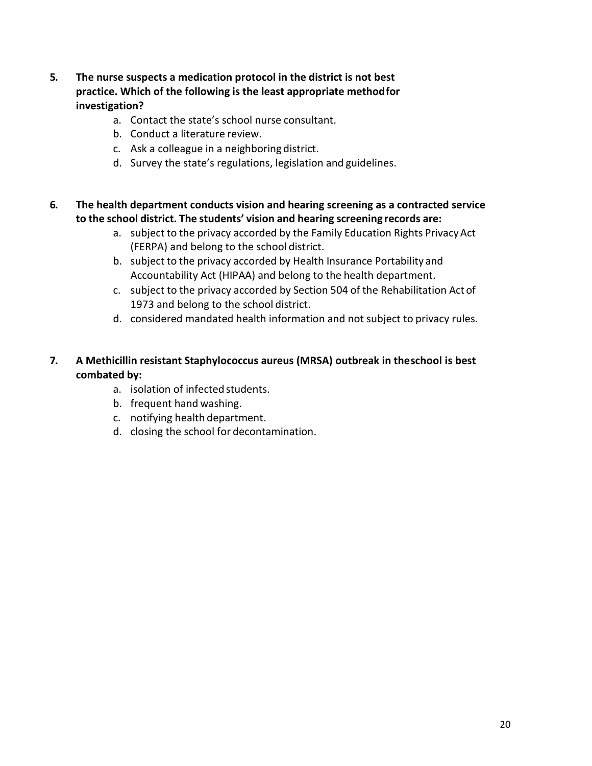- **5. The nurse suspects a medication protocol in the district is not best practice. Which of the following is the least appropriate methodfor investigation?**
	- a. Contact the state's school nurse consultant.
	- b. Conduct a literature review.
	- c. Ask a colleague in a neighboring district.
	- d. Survey the state's regulations, legislation and guidelines.
- **6. The health department conducts vision and hearing screening as a contracted service to the school district. The students' vision and hearing screening records are:**
	- a. subject to the privacy accorded by the Family Education Rights Privacy Act (FERPA) and belong to the school district.
	- b. subject to the privacy accorded by Health Insurance Portability and Accountability Act (HIPAA) and belong to the health department.
	- c. subject to the privacy accorded by Section 504 of the Rehabilitation Act of 1973 and belong to the school district.
	- d. considered mandated health information and not subject to privacy rules.
- **7. A Methicillin resistant Staphylococcus aureus (MRSA) outbreak in theschool is best combated by:**
	- a. isolation of infected students.
	- b. frequent hand washing.
	- c. notifying health department.
	- d. closing the school for decontamination.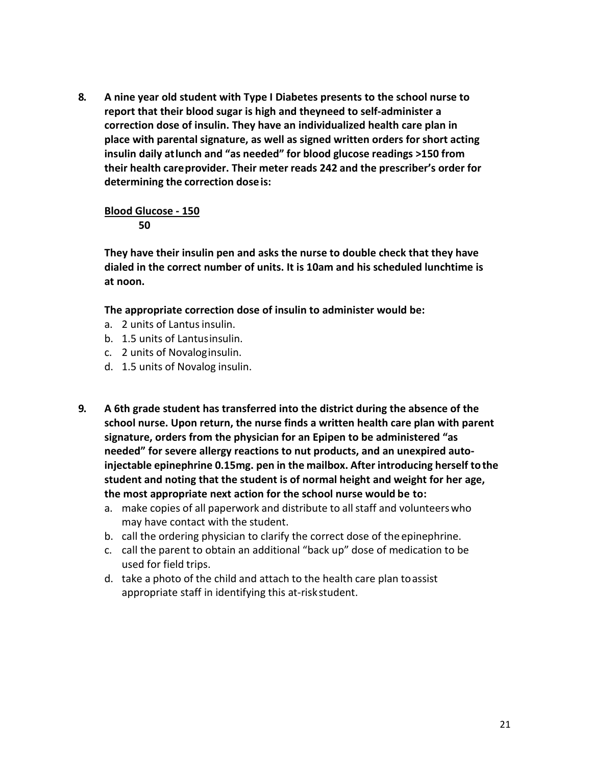**8. A nine year old student with Type I Diabetes presents to the school nurse to report that their blood sugar is high and theyneed to self-administer a correction dose of insulin. They have an individualized health care plan in place with parental signature, as well as signed written orders for short acting insulin daily atlunch and "as needed" for blood glucose readings >150 from their health careprovider. Their meter reads 242 and the prescriber's order for determining the correction doseis:**

# **Blood Glucose - 150**

#### **50**

**They have their insulin pen and asks the nurse to double check that they have dialed in the correct number of units. It is 10am and his scheduled lunchtime is at noon.**

**The appropriate correction dose of insulin to administer would be:**

- a. 2 units of Lantus insulin.
- b. 1.5 units of Lantusinsulin.
- c. 2 units of Novaloginsulin.
- d. 1.5 units of Novalog insulin.
- **9. A 6th grade student has transferred into the district during the absence of the school nurse. Upon return, the nurse finds a written health care plan with parent signature, orders from the physician for an Epipen to be administered "as needed" for severe allergy reactions to nut products, and an unexpired autoinjectable epinephrine 0.15mg. pen in the mailbox. After introducing herself tothe student and noting that the student is of normal height and weight for her age, the most appropriate next action for the school nurse would be to:**
	- a. make copies of all paperwork and distribute to allstaff and volunteerswho may have contact with the student.
	- b. call the ordering physician to clarify the correct dose of the epinephrine.
	- c. call the parent to obtain an additional "back up" dose of medication to be used for field trips.
	- d. take a photo of the child and attach to the health care plan toassist appropriate staff in identifying this at-riskstudent.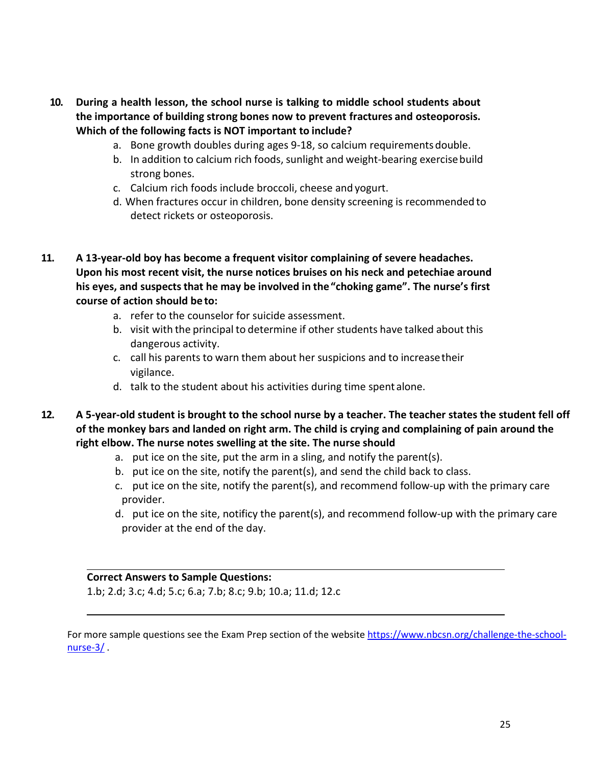- **10. During a health lesson, the school nurse is talking to middle school students about the importance of building strong bones now to prevent fractures and osteoporosis. Which of the following facts is NOT important to include?**
	- a. Bone growth doubles during ages 9-18, so calcium requirementsdouble.
	- b. In addition to calcium rich foods, sunlight and weight-bearing exercisebuild strong bones.
	- c. Calcium rich foods include broccoli, cheese and yogurt.
	- d. When fractures occur in children, bone density screening is recommended to detect rickets or osteoporosis.
- **11. A 13-year-old boy has become a frequent visitor complaining of severe headaches. Upon his most recent visit, the nurse notices bruises on his neck and petechiae around his eyes, and suspectsthat he may be involved in the"choking game". The nurse's first course of action should be to:**
	- a. refer to the counselor for suicide assessment.
	- b. visit with the principal to determine if other students have talked about this dangerous activity.
	- c. call his parents to warn them about her suspicions and to increasetheir vigilance.
	- d. talk to the student about his activities during time spent alone.
- **12. A 5-year-old student is brought to the school nurse by a teacher. The teacher states the student fell off of the monkey bars and landed on right arm. The child is crying and complaining of pain around the right elbow. The nurse notes swelling at the site. The nurse should**
	- a. put ice on the site, put the arm in a sling, and notify the parent(s).
	- b. put ice on the site, notify the parent(s), and send the child back to class.
	- c. put ice on the site, notify the parent(s), and recommend follow-up with the primary care provider.
	- d. put ice on the site, notificy the parent(s), and recommend follow-up with the primary care provider at the end of the day.

#### **Correct Answers to Sample Questions:**

1.b; 2.d; 3.c; 4.d; 5.c; 6.a; 7.b; 8.c; 9.b; 10.a; 11.d; 12.c

For more sample questions see the Exam Prep section of the website [https://www.nbcsn.org/challenge-the-school](https://www.nbcsn.org/challenge-the-school-nurse-3/)nurse-3/